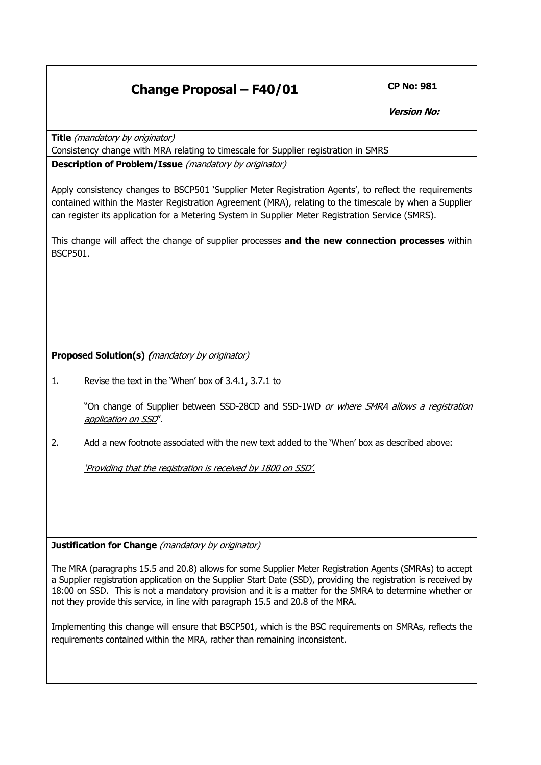## **Change Proposal – F40/01 CP No: 981**

**Title** (mandatory by originator)

Consistency change with MRA relating to timescale for Supplier registration in SMRS

**Description of Problem/Issue** (mandatory by originator)

Apply consistency changes to BSCP501 'Supplier Meter Registration Agents', to reflect the requirements contained within the Master Registration Agreement (MRA), relating to the timescale by when a Supplier can register its application for a Metering System in Supplier Meter Registration Service (SMRS).

This change will affect the change of supplier processes **and the new connection processes** within BSCP501.

**Proposed Solution(s) (**mandatory by originator)

1. Revise the text in the 'When' box of 3.4.1, 3.7.1 to

"On change of Supplier between SSD-28CD and SSD-1WD or where SMRA allows a registration application on SSD".

2. Add a new footnote associated with the new text added to the 'When' box as described above:

'Providing that the registration is received by 1800 on SSD'.

**Justification for Change** (mandatory by originator)

The MRA (paragraphs 15.5 and 20.8) allows for some Supplier Meter Registration Agents (SMRAs) to accept a Supplier registration application on the Supplier Start Date (SSD), providing the registration is received by 18:00 on SSD. This is not a mandatory provision and it is a matter for the SMRA to determine whether or not they provide this service, in line with paragraph 15.5 and 20.8 of the MRA.

Implementing this change will ensure that BSCP501, which is the BSC requirements on SMRAs, reflects the requirements contained within the MRA, rather than remaining inconsistent.